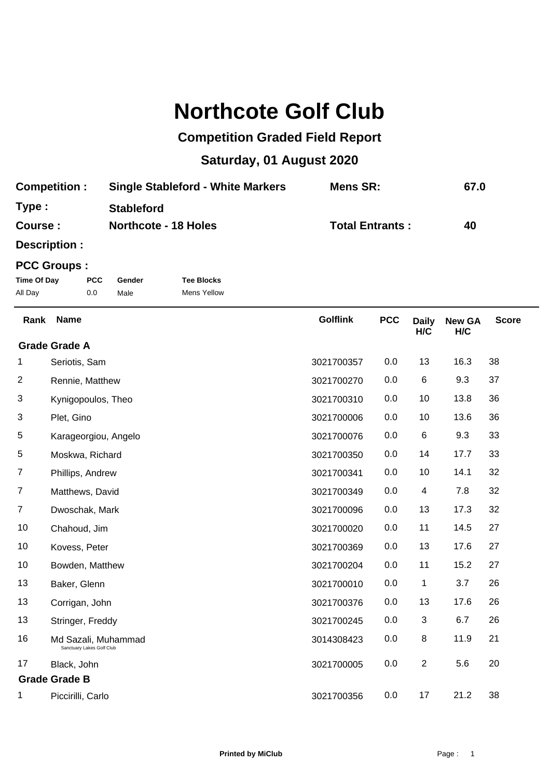## **Northcote Golf Club**

## **Competition Graded Field Report**

## **Saturday, 01 August 2020**

| <b>Competition:</b> | <b>Single Stableford - White Markers</b> | Mens SR:               | 67.0 |
|---------------------|------------------------------------------|------------------------|------|
| Type:               | <b>Stableford</b>                        |                        |      |
| Course :            | <b>Northcote - 18 Holes</b>              | <b>Total Entrants:</b> | 40   |

**Description :**

## **PCC Groups :**

| Time Of Day | <b>PCC</b> | Gender | <b>Tee Blocks</b> |
|-------------|------------|--------|-------------------|
| All Day     | 0.0        | Male   | Mens Yellow       |

| Rank           | <b>Name</b>                                      | <b>Golflink</b> | <b>PCC</b> | <b>Daily</b><br>H/C | <b>New GA</b><br>H/C | <b>Score</b> |
|----------------|--------------------------------------------------|-----------------|------------|---------------------|----------------------|--------------|
|                | <b>Grade Grade A</b>                             |                 |            |                     |                      |              |
| 1              | Seriotis, Sam                                    | 3021700357      | 0.0        | 13                  | 16.3                 | 38           |
| $\overline{c}$ | Rennie, Matthew                                  | 3021700270      | 0.0        | 6                   | 9.3                  | 37           |
| 3              | Kynigopoulos, Theo                               | 3021700310      | 0.0        | 10                  | 13.8                 | 36           |
| 3              | Plet, Gino                                       | 3021700006      | 0.0        | 10                  | 13.6                 | 36           |
| 5              | Karageorgiou, Angelo                             | 3021700076      | 0.0        | 6                   | 9.3                  | 33           |
| 5              | Moskwa, Richard                                  | 3021700350      | 0.0        | 14                  | 17.7                 | 33           |
| $\overline{7}$ | Phillips, Andrew                                 | 3021700341      | 0.0        | 10                  | 14.1                 | 32           |
| 7              | Matthews, David                                  | 3021700349      | 0.0        | 4                   | 7.8                  | 32           |
| 7              | Dwoschak, Mark                                   | 3021700096      | 0.0        | 13                  | 17.3                 | 32           |
| $10$           | Chahoud, Jim                                     | 3021700020      | 0.0        | 11                  | 14.5                 | 27           |
| 10             | Kovess, Peter                                    | 3021700369      | 0.0        | 13                  | 17.6                 | 27           |
| 10             | Bowden, Matthew                                  | 3021700204      | 0.0        | 11                  | 15.2                 | 27           |
| 13             | Baker, Glenn                                     | 3021700010      | 0.0        | 1                   | 3.7                  | 26           |
| 13             | Corrigan, John                                   | 3021700376      | 0.0        | 13                  | 17.6                 | 26           |
| 13             | Stringer, Freddy                                 | 3021700245      | 0.0        | 3                   | 6.7                  | 26           |
| 16             | Md Sazali, Muhammad<br>Sanctuary Lakes Golf Club | 3014308423      | 0.0        | 8                   | 11.9                 | 21           |
| 17             | Black, John                                      | 3021700005      | 0.0        | $\overline{2}$      | 5.6                  | 20           |
|                | <b>Grade Grade B</b>                             |                 |            |                     |                      |              |
| 1              | Piccirilli, Carlo                                | 3021700356      | 0.0        | 17                  | 21.2                 | 38           |